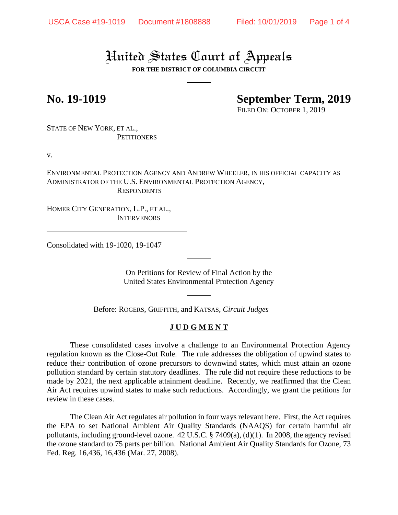# United States Court of Appeals

**FOR THE DISTRICT OF COLUMBIA CIRCUIT**

## **No. 19-1019 September Term, 2019**

FILED ON: OCTOBER 1, 2019

STATE OF NEW YORK, ET AL., **PETITIONERS** 

v.

ENVIRONMENTAL PROTECTION AGENCY AND ANDREW WHEELER, IN HIS OFFICIAL CAPACITY AS ADMINISTRATOR OF THE U.S. ENVIRONMENTAL PROTECTION AGENCY, **RESPONDENTS** 

HOMER CITY GENERATION, L.P., ET AL., **INTERVENORS** 

Consolidated with 19-1020, 19-1047

On Petitions for Review of Final Action by the United States Environmental Protection Agency

Before: ROGERS, GRIFFITH, and KATSAS, *Circuit Judges*

### **J U D G M E N T**

These consolidated cases involve a challenge to an Environmental Protection Agency regulation known as the Close-Out Rule. The rule addresses the obligation of upwind states to reduce their contribution of ozone precursors to downwind states, which must attain an ozone pollution standard by certain statutory deadlines. The rule did not require these reductions to be made by 2021, the next applicable attainment deadline. Recently, we reaffirmed that the Clean Air Act requires upwind states to make such reductions. Accordingly, we grant the petitions for review in these cases.

The Clean Air Act regulates air pollution in four ways relevant here. First, the Act requires the EPA to set National Ambient Air Quality Standards (NAAQS) for certain harmful air pollutants, including ground-level ozone. 42 U.S.C. § 7409(a), (d)(1). In 2008, the agency revised the ozone standard to 75 parts per billion. National Ambient Air Quality Standards for Ozone, 73 Fed. Reg. 16,436, 16,436 (Mar. 27, 2008).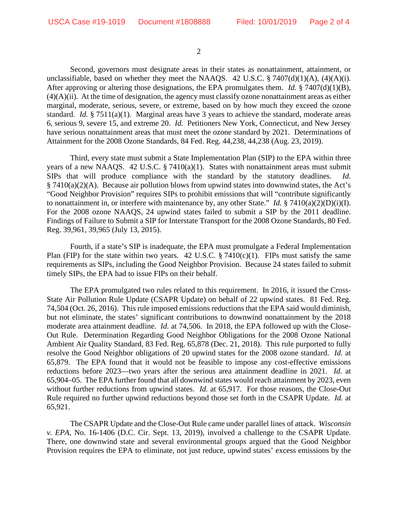2

Second, governors must designate areas in their states as nonattainment, attainment, or unclassifiable, based on whether they meet the NAAQS. 42 U.S.C.  $\S 7407(d)(1)(A)$ , (4)(A)(i). After approving or altering those designations, the EPA promulgates them. *Id.* § 7407(d)(1)(B),  $(4)(A)(ii)$ . At the time of designation, the agency must classify ozone nonattainment areas as either marginal, moderate, serious, severe, or extreme, based on by how much they exceed the ozone standard. *Id.* § 7511(a)(1). Marginal areas have 3 years to achieve the standard, moderate areas 6, serious 9, severe 15, and extreme 20. *Id.* Petitioners New York, Connecticut, and New Jersey have serious nonattainment areas that must meet the ozone standard by 2021. Determinations of Attainment for the 2008 Ozone Standards, 84 Fed. Reg. 44,238, 44,238 (Aug. 23, 2019).

Third, every state must submit a State Implementation Plan (SIP) to the EPA within three years of a new NAAQS. 42 U.S.C. § 7410(a)(1). States with nonattainment areas must submit SIPs that will produce compliance with the standard by the statutory deadlines. *Id.* § 7410(a)(2)(A). Because air pollution blows from upwind states into downwind states, the Act's "Good Neighbor Provision" requires SIPs to prohibit emissions that will "contribute significantly to nonattainment in, or interfere with maintenance by, any other State." *Id.* § 7410(a)(2)(D)(i)(I). For the 2008 ozone NAAQS, 24 upwind states failed to submit a SIP by the 2011 deadline. Findings of Failure to Submit a SIP for Interstate Transport for the 2008 Ozone Standards, 80 Fed. Reg. 39,961, 39,965 (July 13, 2015).

Fourth, if a state's SIP is inadequate, the EPA must promulgate a Federal Implementation Plan (FIP) for the state within two years. 42 U.S.C.  $\S 7410(c)(1)$ . FIPs must satisfy the same requirements as SIPs, including the Good Neighbor Provision. Because 24 states failed to submit timely SIPs, the EPA had to issue FIPs on their behalf.

The EPA promulgated two rules related to this requirement. In 2016, it issued the Cross-State Air Pollution Rule Update (CSAPR Update) on behalf of 22 upwind states. 81 Fed. Reg. 74,504 (Oct. 26, 2016). This rule imposed emissions reductions that the EPA said would diminish, but not eliminate, the states' significant contributions to downwind nonattainment by the 2018 moderate area attainment deadline. *Id.* at 74,506. In 2018, the EPA followed up with the Close-Out Rule. Determination Regarding Good Neighbor Obligations for the 2008 Ozone National Ambient Air Quality Standard, 83 Fed. Reg. 65,878 (Dec. 21, 2018). This rule purported to fully resolve the Good Neighbor obligations of 20 upwind states for the 2008 ozone standard. *Id.* at 65,879. The EPA found that it would not be feasible to impose any cost-effective emissions reductions before 2023—two years after the serious area attainment deadline in 2021. *Id.* at 65,904–05. The EPA further found that all downwind states would reach attainment by 2023, even without further reductions from upwind states. *Id.* at 65,917. For those reasons, the Close-Out Rule required no further upwind reductions beyond those set forth in the CSAPR Update. *Id.* at 65,921.

The CSAPR Update and the Close-Out Rule came under parallel lines of attack. *Wisconsin v. EPA*, No. 16-1406 (D.C. Cir. Sept. 13, 2019), involved a challenge to the CSAPR Update. There, one downwind state and several environmental groups argued that the Good Neighbor Provision requires the EPA to eliminate, not just reduce, upwind states' excess emissions by the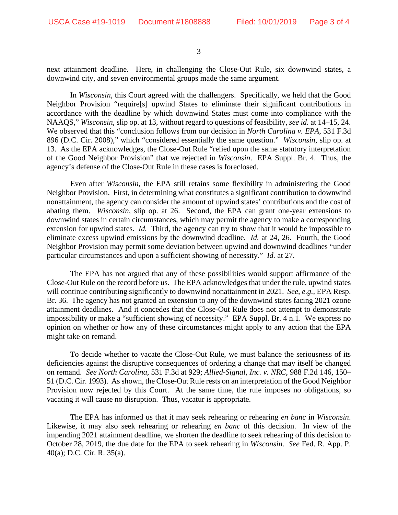3

next attainment deadline. Here, in challenging the Close-Out Rule, six downwind states, a downwind city, and seven environmental groups made the same argument.

In *Wisconsin*, this Court agreed with the challengers. Specifically, we held that the Good Neighbor Provision "require[s] upwind States to eliminate their significant contributions in accordance with the deadline by which downwind States must come into compliance with the NAAQS," *Wisconsin*, slip op. at 13, without regard to questions of feasibility, *see id.* at 14–15, 24. We observed that this "conclusion follows from our decision in *North Carolina v. EPA*, 531 F.3d 896 (D.C. Cir. 2008)," which "considered essentially the same question." *Wisconsin*, slip op. at 13. As the EPA acknowledges, the Close-Out Rule "relied upon the same statutory interpretation of the Good Neighbor Provision" that we rejected in *Wisconsin*. EPA Suppl. Br. 4. Thus, the agency's defense of the Close-Out Rule in these cases is foreclosed.

Even after *Wisconsin*, the EPA still retains some flexibility in administering the Good Neighbor Provision. First, in determining what constitutes a significant contribution to downwind nonattainment, the agency can consider the amount of upwind states' contributions and the cost of abating them. *Wisconsin*, slip op. at 26. Second, the EPA can grant one-year extensions to downwind states in certain circumstances, which may permit the agency to make a corresponding extension for upwind states. *Id.* Third, the agency can try to show that it would be impossible to eliminate excess upwind emissions by the downwind deadline. *Id.* at 24, 26. Fourth, the Good Neighbor Provision may permit some deviation between upwind and downwind deadlines "under particular circumstances and upon a sufficient showing of necessity." *Id.* at 27.

The EPA has not argued that any of these possibilities would support affirmance of the Close-Out Rule on the record before us. The EPA acknowledges that under the rule, upwind states will continue contributing significantly to downwind nonattainment in 2021. *See*, *e.g.*, EPA Resp. Br. 36. The agency has not granted an extension to any of the downwind states facing 2021 ozone attainment deadlines. And it concedes that the Close-Out Rule does not attempt to demonstrate impossibility or make a "sufficient showing of necessity." EPA Suppl. Br. 4 n.1. We express no opinion on whether or how any of these circumstances might apply to any action that the EPA might take on remand.

To decide whether to vacate the Close-Out Rule, we must balance the seriousness of its deficiencies against the disruptive consequences of ordering a change that may itself be changed on remand. *See North Carolina*, 531 F.3d at 929; *Allied-Signal, Inc. v. NRC*, 988 F.2d 146, 150– 51 (D.C. Cir. 1993). As shown, the Close-Out Rule rests on an interpretation of the Good Neighbor Provision now rejected by this Court. At the same time, the rule imposes no obligations, so vacating it will cause no disruption. Thus, vacatur is appropriate.

The EPA has informed us that it may seek rehearing or rehearing *en banc* in *Wisconsin*. Likewise, it may also seek rehearing or rehearing *en banc* of this decision. In view of the impending 2021 attainment deadline, we shorten the deadline to seek rehearing of this decision to October 28, 2019, the due date for the EPA to seek rehearing in *Wisconsin*. *See* Fed. R. App. P. 40(a); D.C. Cir. R. 35(a).